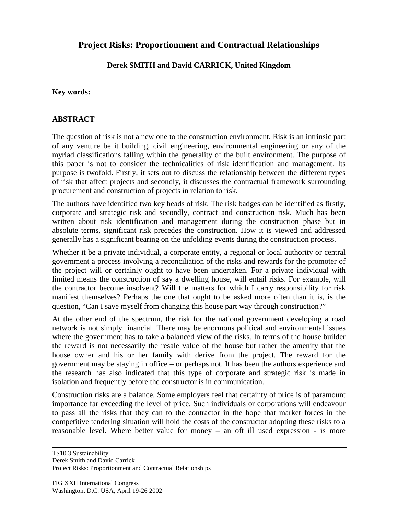# **Project Risks: Proportionment and Contractual Relationships**

## **Derek SMITH and David CARRICK, United Kingdom**

#### **Key words:**

#### **ABSTRACT**

The question of risk is not a new one to the construction environment. Risk is an intrinsic part of any venture be it building, civil engineering, environmental engineering or any of the myriad classifications falling within the generality of the built environment. The purpose of this paper is not to consider the technicalities of risk identification and management. Its purpose is twofold. Firstly, it sets out to discuss the relationship between the different types of risk that affect projects and secondly, it discusses the contractual framework surrounding procurement and construction of projects in relation to risk.

The authors have identified two key heads of risk. The risk badges can be identified as firstly, corporate and strategic risk and secondly, contract and construction risk. Much has been written about risk identification and management during the construction phase but in absolute terms, significant risk precedes the construction. How it is viewed and addressed generally has a significant bearing on the unfolding events during the construction process.

Whether it be a private individual, a corporate entity, a regional or local authority or central government a process involving a reconciliation of the risks and rewards for the promoter of the project will or certainly ought to have been undertaken. For a private individual with limited means the construction of say a dwelling house, will entail risks. For example, will the contractor become insolvent? Will the matters for which I carry responsibility for risk manifest themselves? Perhaps the one that ought to be asked more often than it is, is the question, "Can I save myself from changing this house part way through construction?"

At the other end of the spectrum, the risk for the national government developing a road network is not simply financial. There may be enormous political and environmental issues where the government has to take a balanced view of the risks. In terms of the house builder the reward is not necessarily the resale value of the house but rather the amenity that the house owner and his or her family with derive from the project. The reward for the government may be staying in office – or perhaps not. It has been the authors experience and the research has also indicated that this type of corporate and strategic risk is made in isolation and frequently before the constructor is in communication.

Construction risks are a balance. Some employers feel that certainty of price is of paramount importance far exceeding the level of price. Such individuals or corporations will endeavour to pass all the risks that they can to the contractor in the hope that market forces in the competitive tendering situation will hold the costs of the constructor adopting these risks to a reasonable level. Where better value for money – an oft ill used expression - is more

TS10.3 Sustainability Derek Smith and David Carrick Project Risks: Proportionment and Contractual Relationships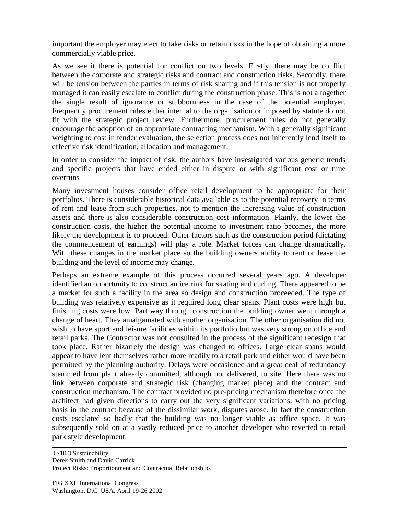important the employer may elect to take risks or retain risks in the hope of obtaining a more commercially viable price.

As we see it there is potential for conflict on two levels. Firstly, there may be conflict between the corporate and strategic risks and contract and construction risks. Secondly, there will be tension between the parties in terms of risk sharing and if this tension is not properly managed it can easily escalate to conflict during the construction phase. This is not altogether the single result of ignorance or stubbornness in the case of the potential employer. Frequently procurement rules either internal to the organisation or imposed by statute do not fit with the strategic project review. Furthermore, procurement rules do not generally encourage the adoption of an appropriate contracting mechanism. With a generally significant weighting to cost in tender evaluation, the selection process does not inherently lend itself to effective risk identification, allocation and management.

In order to consider the impact of risk, the authors have investigated various generic trends and specific projects that have ended either in dispute or with significant cost or time overruns

Many investment houses consider office retail development to be appropriate for their portfolios. There is considerable historical data available as to the potential recovery in terms of rent and lease from such properties, not to mention the increasing value of construction assets and there is also considerable construction cost information. Plainly, the lower the construction costs, the higher the potential income to investment ratio becomes, the more likely the development is to proceed. Other factors such as the construction period (dictating the commencement of earnings) will play a role. Market forces can change dramatically. With these changes in the market place so the building owners ability to rent or lease the building and the level of income may change.

Perhaps an extreme example of this process occurred several years ago. A developer identified an opportunity to construct an ice rink for skating and curling. There appeared to be a market for such a facility in the area so design and construction proceeded. The type of building was relatively expensive as it required long clear spans. Plant costs were high but finishing costs were low. Part way through construction the building owner went through a change of heart. They amalgamated with another organisation. The other organisation did not wish to have sport and leisure facilities within its portfolio but was very strong on office and retail parks. The Contractor was not consulted in the process of the significant redesign that took place. Rather bizarrely the design was changed to offices. Large clear spans would appear to have lent themselves rather more readily to a retail park and either would have been permitted by the planning authority. Delays were occasioned and a great deal of redundancy stemmed from plant already committed, although not delivered, to site. Here there was no link between corporate and strategic risk (changing market place) and the contract and construction mechanism. The contract provided no pre-pricing mechanism therefore once the architect had given directions to carry out the very significant variations, with no pricing basis in the contract because of the dissimilar work, disputes arose. In fact the construction costs escalated so badly that the building was no longer viable as office space. It was subsequently sold on at a vastly reduced price to another developer who reverted to retail park style development.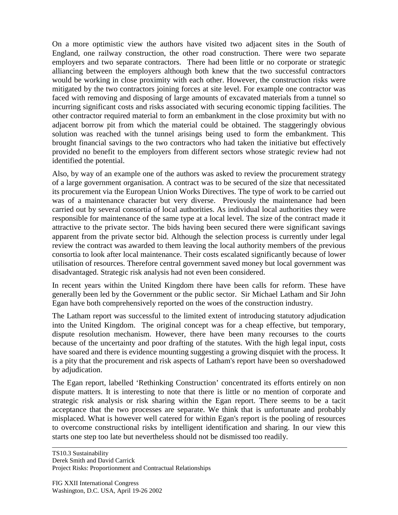On a more optimistic view the authors have visited two adjacent sites in the South of England, one railway construction, the other road construction. There were two separate employers and two separate contractors. There had been little or no corporate or strategic alliancing between the employers although both knew that the two successful contractors would be working in close proximity with each other. However, the construction risks were mitigated by the two contractors joining forces at site level. For example one contractor was faced with removing and disposing of large amounts of excavated materials from a tunnel so incurring significant costs and risks associated with securing economic tipping facilities. The other contractor required material to form an embankment in the close proximity but with no adjacent borrow pit from which the material could be obtained. The staggeringly obvious solution was reached with the tunnel arisings being used to form the embankment. This brought financial savings to the two contractors who had taken the initiative but effectively provided no benefit to the employers from different sectors whose strategic review had not identified the potential.

Also, by way of an example one of the authors was asked to review the procurement strategy of a large government organisation. A contract was to be secured of the size that necessitated its procurement via the European Union Works Directives. The type of work to be carried out was of a maintenance character but very diverse. Previously the maintenance had been carried out by several consortia of local authorities. As individual local authorities they were responsible for maintenance of the same type at a local level. The size of the contract made it attractive to the private sector. The bids having been secured there were significant savings apparent from the private sector bid. Although the selection process is currently under legal review the contract was awarded to them leaving the local authority members of the previous consortia to look after local maintenance. Their costs escalated significantly because of lower utilisation of resources. Therefore central government saved money but local government was disadvantaged. Strategic risk analysis had not even been considered.

In recent years within the United Kingdom there have been calls for reform. These have generally been led by the Government or the public sector. Sir Michael Latham and Sir John Egan have both comprehensively reported on the woes of the construction industry.

The Latham report was successful to the limited extent of introducing statutory adjudication into the United Kingdom. The original concept was for a cheap effective, but temporary, dispute resolution mechanism. However, there have been many recourses to the courts because of the uncertainty and poor drafting of the statutes. With the high legal input, costs have soared and there is evidence mounting suggesting a growing disquiet with the process. It is a pity that the procurement and risk aspects of Latham's report have been so overshadowed by adjudication.

The Egan report, labelled 'Rethinking Construction' concentrated its efforts entirely on non dispute matters. It is interesting to note that there is little or no mention of corporate and strategic risk analysis or risk sharing within the Egan report. There seems to be a tacit acceptance that the two processes are separate. We think that is unfortunate and probably misplaced. What is however well catered for within Egan's report is the pooling of resources to overcome constructional risks by intelligent identification and sharing. In our view this starts one step too late but nevertheless should not be dismissed too readily.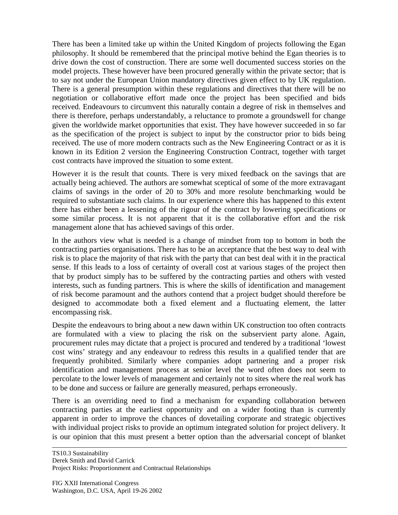There has been a limited take up within the United Kingdom of projects following the Egan philosophy. It should be remembered that the principal motive behind the Egan theories is to drive down the cost of construction. There are some well documented success stories on the model projects. These however have been procured generally within the private sector; that is to say not under the European Union mandatory directives given effect to by UK regulation. There is a general presumption within these regulations and directives that there will be no negotiation or collaborative effort made once the project has been specified and bids received. Endeavours to circumvent this naturally contain a degree of risk in themselves and there is therefore, perhaps understandably, a reluctance to promote a groundswell for change given the worldwide market opportunities that exist. They have however succeeded in so far as the specification of the project is subject to input by the constructor prior to bids being received. The use of more modern contracts such as the New Engineering Contract or as it is known in its Edition 2 version the Engineering Construction Contract, together with target cost contracts have improved the situation to some extent.

However it is the result that counts. There is very mixed feedback on the savings that are actually being achieved. The authors are somewhat sceptical of some of the more extravagant claims of savings in the order of 20 to 30% and more resolute benchmarking would be required to substantiate such claims. In our experience where this has happened to this extent there has either been a lessening of the rigour of the contract by lowering specifications or some similar process. It is not apparent that it is the collaborative effort and the risk management alone that has achieved savings of this order.

In the authors view what is needed is a change of mindset from top to bottom in both the contracting parties organisations. There has to be an acceptance that the best way to deal with risk is to place the majority of that risk with the party that can best deal with it in the practical sense. If this leads to a loss of certainty of overall cost at various stages of the project then that by product simply has to be suffered by the contracting parties and others with vested interests, such as funding partners. This is where the skills of identification and management of risk become paramount and the authors contend that a project budget should therefore be designed to accommodate both a fixed element and a fluctuating element, the latter encompassing risk.

Despite the endeavours to bring about a new dawn within UK construction too often contracts are formulated with a view to placing the risk on the subservient party alone. Again, procurement rules may dictate that a project is procured and tendered by a traditional 'lowest cost wins' strategy and any endeavour to redress this results in a qualified tender that are frequently prohibited. Similarly where companies adopt partnering and a proper risk identification and management process at senior level the word often does not seem to percolate to the lower levels of management and certainly not to sites where the real work has to be done and success or failure are generally measured, perhaps erroneously.

There is an overriding need to find a mechanism for expanding collaboration between contracting parties at the earliest opportunity and on a wider footing than is currently apparent in order to improve the chances of dovetailing corporate and strategic objectives with individual project risks to provide an optimum integrated solution for project delivery. It is our opinion that this must present a better option than the adversarial concept of blanket